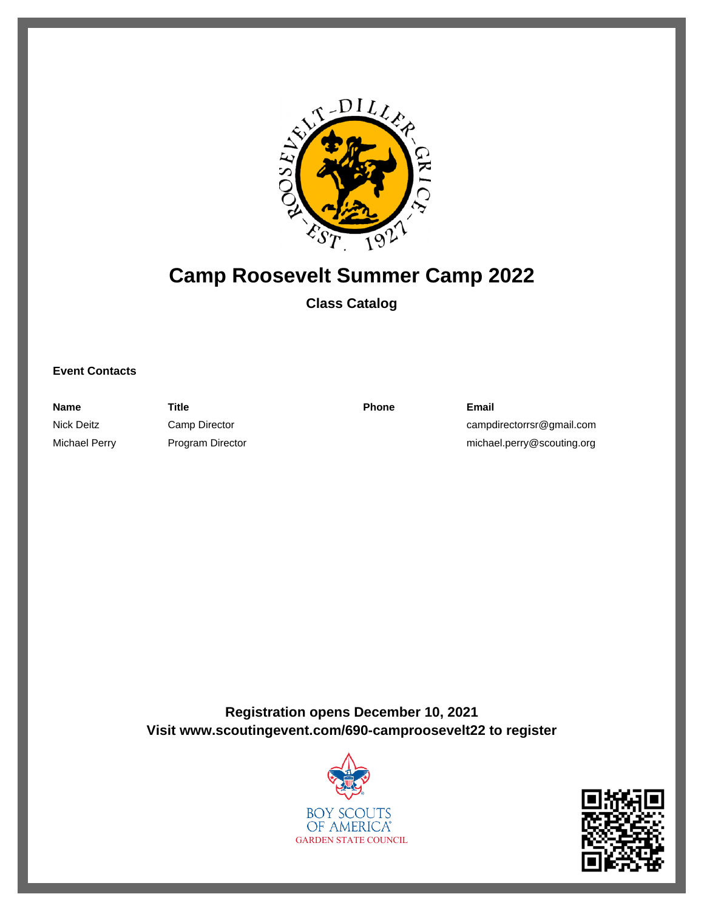

# **Camp Roosevelt Summer Camp 2022**

# **Class Catalog**

### **Event Contacts**

**Name Title Phone Email** Nick Deitz Camp Director Camp Director campdirectorrsr@gmail.com Michael Perry **Program Director** michael.perry@scouting.org

**Registration opens December 10, 2021 Visit www.scoutingevent.com/690-camproosevelt22 to register**



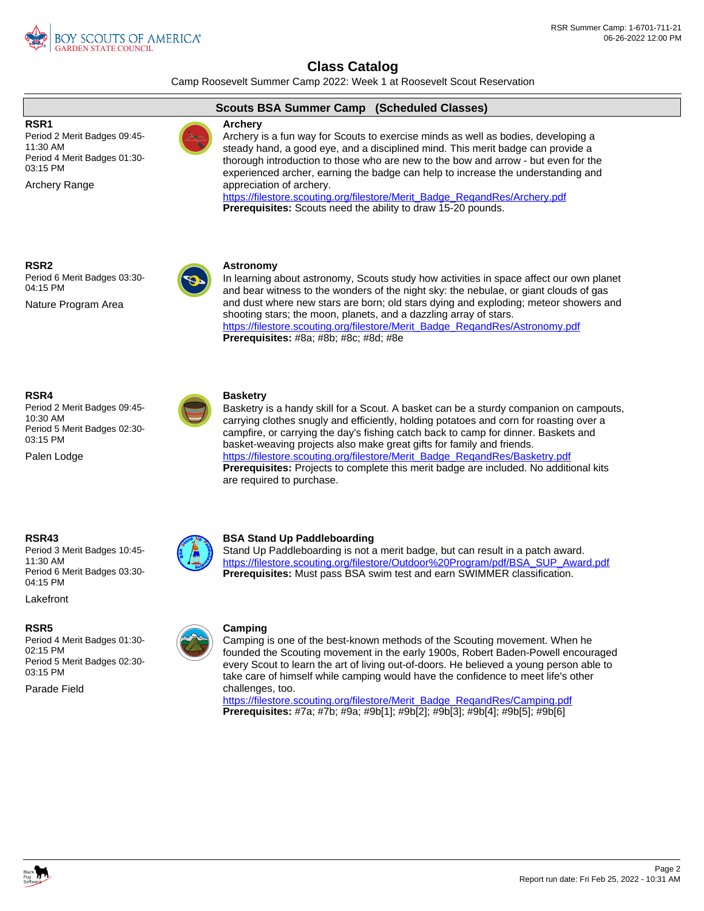

Camp Roosevelt Summer Camp 2022: Week 1 at Roosevelt Scout Reservation

### **RSR1**

Period 2 Merit Badges 09:45- 11:30 AM Period 4 Merit Badges 01:30- 03:15 PM

Archery Range

### **Scouts BSA Summer Camp (Scheduled Classes)**

### **Archery**

Archery is a fun way for Scouts to exercise minds as well as bodies, developing a steady hand, a good eye, and a disciplined mind. This merit badge can provide a thorough introduction to those who are new to the bow and arrow - but even for the experienced archer, earning the badge can help to increase the understanding and appreciation of archery.

[https://filestore.scouting.org/filestore/Merit\\_Badge\\_ReqandRes/Archery.pdf](https://filestore.scouting.org/filestore/Merit_Badge_ReqandRes/Archery.pdf) **Prerequisites:** Scouts need the ability to draw 15-20 pounds.

**RSR2**

Period 6 Merit Badges 03:30- 04:15 PM

Nature Program Area



### In learning about astronomy, Scouts study how activities in space affect our own planet and bear witness to the wonders of the night sky: the nebulae, or giant clouds of gas and dust where new stars are born; old stars dying and exploding; meteor showers and shooting stars; the moon, planets, and a dazzling array of stars. https://filestore.scouting.org/filestore/Merit\_Badge\_RegandRes/Astronomy.pdf

**Prerequisites:** #8a; #8b; #8c; #8d; #8e

### **RSR4**

Period 2 Merit Badges 09:45- 10:30 AM Period 5 Merit Badges 02:30- 03:15 PM

Palen Lodge



### **Basketry**

Basketry is a handy skill for a Scout. A basket can be a sturdy companion on campouts, carrying clothes snugly and efficiently, holding potatoes and corn for roasting over a campfire, or carrying the day's fishing catch back to camp for dinner. Baskets and basket-weaving projects also make great gifts for family and friends. [https://filestore.scouting.org/filestore/Merit\\_Badge\\_ReqandRes/Basketry.pdf](https://filestore.scouting.org/filestore/Merit_Badge_ReqandRes/Basketry.pdf) **Prerequisites:** Projects to complete this merit badge are included. No additional kits are required to purchase.

### **RSR43**

Period 3 Merit Badges 10:45- 11:30 AM Period 6 Merit Badges 03:30- 04:15 PM

Lakefront

### **RSR5**

Period 4 Merit Badges 01:30- 02:15 PM Period 5 Merit Badges 02:30- 03:15 PM

Parade Field



### **BSA Stand Up Paddleboarding**

Stand Up Paddleboarding is not a merit badge, but can result in a patch award. [https://filestore.scouting.org/filestore/Outdoor%20Program/pdf/BSA\\_SUP\\_Award.pdf](https://filestore.scouting.org/filestore/Outdoor%20Program/pdf/BSA_SUP_Award.pdf) **Prerequisites:** Must pass BSA swim test and earn SWIMMER classification.

### **Camping**

Camping is one of the best-known methods of the Scouting movement. When he founded the Scouting movement in the early 1900s, Robert Baden-Powell encouraged every Scout to learn the art of living out-of-doors. He believed a young person able to take care of himself while camping would have the confidence to meet life's other challenges, too.

[https://filestore.scouting.org/filestore/Merit\\_Badge\\_ReqandRes/Camping.pdf](https://filestore.scouting.org/filestore/Merit_Badge_ReqandRes/Camping.pdf) **Prerequisites:** #7a; #7b; #9a; #9b[1]; #9b[2]; #9b[3]; #9b[4]; #9b[5]; #9b[6]

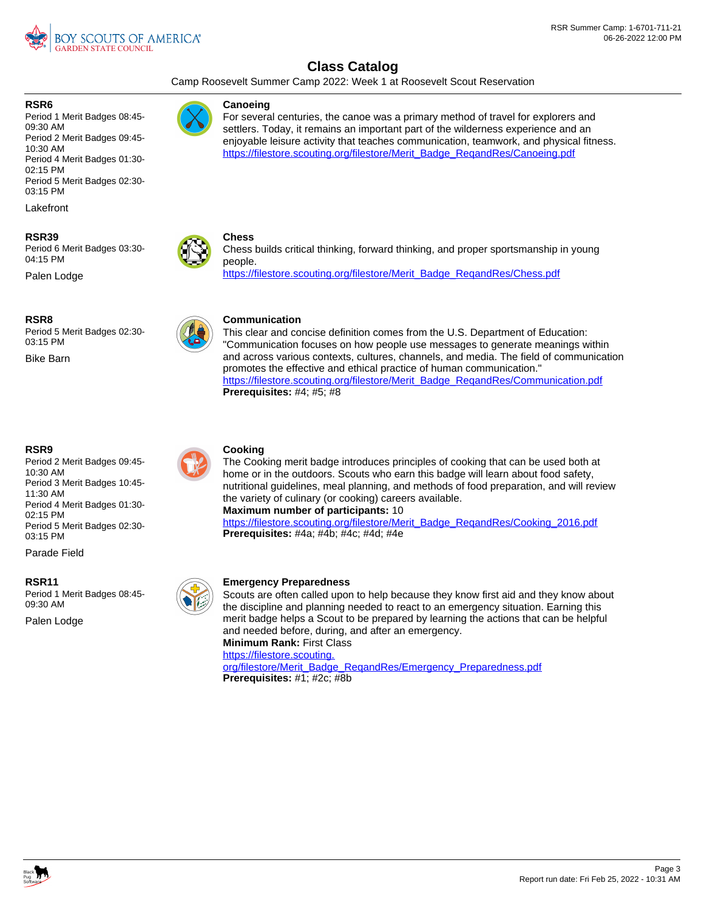

Camp Roosevelt Summer Camp 2022: Week 1 at Roosevelt Scout Reservation

### **RSR6**

Period 1 Merit Badges 08:45- 09:30 AM Period 2 Merit Badges 09:45- 10:30 AM Period 4 Merit Badges 01:30- 02:15 PM Period 5 Merit Badges 02:30- 03:15 PM

Lakefront

### **RSR39**

Period 6 Merit Badges 03:30- 04:15 PM

Palen Lodge

### **RSR8**

Period 5 Merit Badges 02:30- 03:15 PM

Bike Barn

### **RSR9**

Period 2 Merit Badges 09:45- 10:30 AM Period 3 Merit Badges 10:45- 11:30 AM Period 4 Merit Badges 01:30- 02:15 PM Period 5 Merit Badges 02:30- 03:15 PM

Parade Field

### **RSR11**

Palen Lodge Period 1 Merit Badges 08:45- 09:30 AM



For several centuries, the canoe was a primary method of travel for explorers and settlers. Today, it remains an important part of the wilderness experience and an enjoyable leisure activity that teaches communication, teamwork, and physical fitness. https://filestore.scouting.org/filestore/Merit\_Badge\_RegandRes/Canoeing.pdf



Chess builds critical thinking, forward thinking, and proper sportsmanship in young people. [https://filestore.scouting.org/filestore/Merit\\_Badge\\_ReqandRes/Chess.pdf](https://filestore.scouting.org/filestore/Merit_Badge_ReqandRes/Chess.pdf)



### **Communication**

This clear and concise definition comes from the U.S. Department of Education: "Communication focuses on how people use messages to generate meanings within and across various contexts, cultures, channels, and media. The field of communication promotes the effective and ethical practice of human communication." [https://filestore.scouting.org/filestore/Merit\\_Badge\\_ReqandRes/Communication.pdf](https://filestore.scouting.org/filestore/Merit_Badge_ReqandRes/Communication.pdf) **Prerequisites:** #4; #5; #8

### **Cooking**

The Cooking merit badge introduces principles of cooking that can be used both at home or in the outdoors. Scouts who earn this badge will learn about food safety, nutritional guidelines, meal planning, and methods of food preparation, and will review the variety of culinary (or cooking) careers available.

**Maximum number of participants:** 10

https://filestore.scouting.org/filestore/Merit\_Badge\_RegandRes/Cooking\_2016.pdf **Prerequisites:** #4a; #4b; #4c; #4d; #4e

### **Emergency Preparedness**

Scouts are often called upon to help because they know first aid and they know about the discipline and planning needed to react to an emergency situation. Earning this merit badge helps a Scout to be prepared by learning the actions that can be helpful and needed before, during, and after an emergency. **Minimum Rank:** First Class

[https://filestore.scouting.](https://filestore.scouting.org/filestore/Merit_Badge_ReqandRes/Emergency_Preparedness.pdf)

[org/filestore/Merit\\_Badge\\_ReqandRes/Emergency\\_Preparedness.pdf](https://filestore.scouting.org/filestore/Merit_Badge_ReqandRes/Emergency_Preparedness.pdf) **Prerequisites:** #1; #2c; #8b

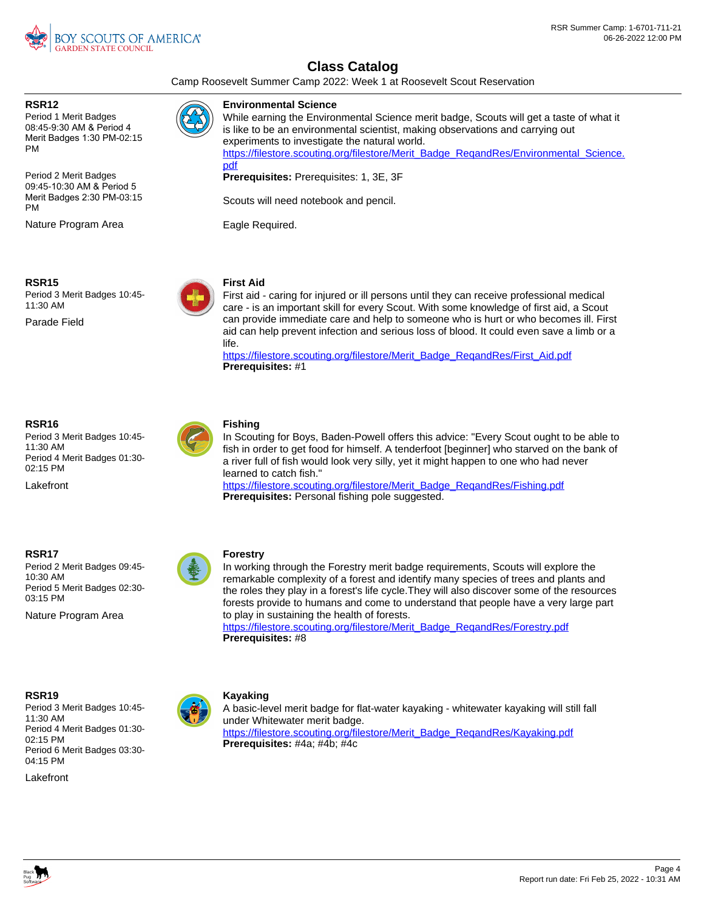

Camp Roosevelt Summer Camp 2022: Week 1 at Roosevelt Scout Reservation

### **RSR12**

Period 1 Merit Badges 08:45-9:30 AM & Period 4 Merit Badges 1:30 PM-02:15 PM

Period 2 Merit Badges 09:45-10:30 AM & Period 5 Merit Badges 2:30 PM-03:15 PM

Nature Program Area



### **Environmental Science**

While earning the Environmental Science merit badge, Scouts will get a taste of what it is like to be an environmental scientist, making observations and carrying out experiments to investigate the natural world. https://filestore.scouting.org/filestore/Merit\_Badge\_RegandRes/Environmental\_Science. [pdf](https://filestore.scouting.org/filestore/Merit_Badge_ReqandRes/Environmental_Science.pdf)

**Prerequisites:** Prerequisites: 1, 3E, 3F

Scouts will need notebook and pencil.

Eagle Required.



Period 3 Merit Badges 10:45- 11:30 AM

Parade Field



### **First Aid**

First aid - caring for injured or ill persons until they can receive professional medical care - is an important skill for every Scout. With some knowledge of first aid, a Scout can provide immediate care and help to someone who is hurt or who becomes ill. First aid can help prevent infection and serious loss of blood. It could even save a limb or a life.

https://filestore.scouting.org/filestore/Merit\_Badge\_RegandRes/First\_Aid.pdf **Prerequisites:** #1

### **RSR16**

Period 3 Merit Badges 10:45- 11:30 AM Period 4 Merit Badges 01:30- 02:15 PM

Lakefront



### **Fishing**

In Scouting for Boys, Baden-Powell offers this advice: "Every Scout ought to be able to fish in order to get food for himself. A tenderfoot [beginner] who starved on the bank of a river full of fish would look very silly, yet it might happen to one who had never learned to catch fish."

https://filestore.scouting.org/filestore/Merit\_Badge\_RegandRes/Fishing.pdf **Prerequisites:** Personal fishing pole suggested.

### **RSR17**

Period 2 Merit Badges 09:45- 10:30 AM Period 5 Merit Badges 02:30- 03:15 PM

Nature Program Area



### **Forestry**

In working through the Forestry merit badge requirements, Scouts will explore the remarkable complexity of a forest and identify many species of trees and plants and the roles they play in a forest's life cycle.They will also discover some of the resources forests provide to humans and come to understand that people have a very large part to play in sustaining the health of forests.

[https://filestore.scouting.org/filestore/Merit\\_Badge\\_ReqandRes/Forestry.pdf](https://filestore.scouting.org/filestore/Merit_Badge_ReqandRes/Forestry.pdf) **Prerequisites:** #8

### **RSR19**

Period 3 Merit Badges 10:45- 11:30 AM Period 4 Merit Badges 01:30- 02:15 PM Period 6 Merit Badges 03:30- 04:15 PM

Lakefront



### **Kayaking**

A basic-level merit badge for flat-water kayaking - whitewater kayaking will still fall under Whitewater merit badge. [https://filestore.scouting.org/filestore/Merit\\_Badge\\_ReqandRes/Kayaking.pdf](https://filestore.scouting.org/filestore/Merit_Badge_ReqandRes/Kayaking.pdf) **Prerequisites:** #4a; #4b; #4c

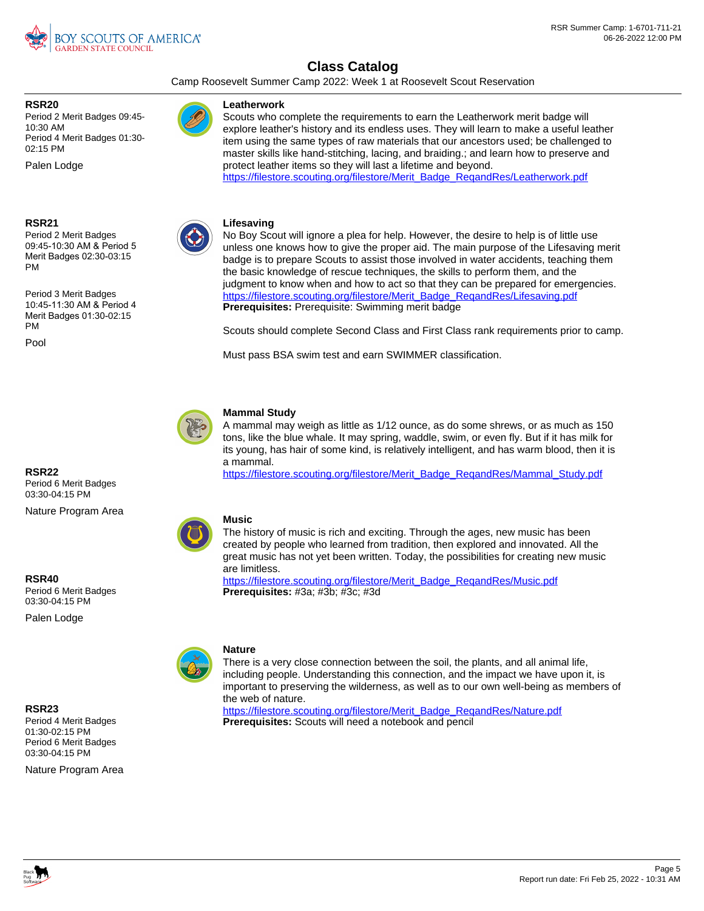

Camp Roosevelt Summer Camp 2022: Week 1 at Roosevelt Scout Reservation

### **RSR20**

Period 2 Merit Badges 09:45- 10:30 AM Period 4 Merit Badges 01:30- 02:15 PM

Palen Lodge

**RSR21**

Period 2 Merit Badges 09:45-10:30 AM & Period 5 Merit Badges 02:30-03:15 PM

Period 3 Merit Badges 10:45-11:30 AM & Period 4 Merit Badges 01:30-02:15 PM

Pool

**RSR22**

**RSR40**

**RSR23**

Period 6 Merit Badges 03:30-04:15 PM

Nature Program Area

Period 6 Merit Badges 03:30-04:15 PM Palen Lodge

Period 4 Merit Badges 01:30-02:15 PM Period 6 Merit Badges 03:30-04:15 PM

Nature Program Area



### **Mammal Study**

A mammal may weigh as little as 1/12 ounce, as do some shrews, or as much as 150 tons, like the blue whale. It may spring, waddle, swim, or even fly. But if it has milk for its young, has hair of some kind, is relatively intelligent, and has warm blood, then it is a mammal.

[https://filestore.scouting.org/filestore/Merit\\_Badge\\_ReqandRes/Mammal\\_Study.pdf](https://filestore.scouting.org/filestore/Merit_Badge_ReqandRes/Mammal_Study.pdf)

### **Music**

The history of music is rich and exciting. Through the ages, new music has been created by people who learned from tradition, then explored and innovated. All the great music has not yet been written. Today, the possibilities for creating new music are limitless.

[https://filestore.scouting.org/filestore/Merit\\_Badge\\_ReqandRes/Music.pdf](https://filestore.scouting.org/filestore/Merit_Badge_ReqandRes/Music.pdf) **Prerequisites:** #3a; #3b; #3c; #3d



### **Nature**

There is a very close connection between the soil, the plants, and all animal life, including people. Understanding this connection, and the impact we have upon it, is important to preserving the wilderness, as well as to our own well-being as members of the web of nature.

[https://filestore.scouting.org/filestore/Merit\\_Badge\\_ReqandRes/Nature.pdf](https://filestore.scouting.org/filestore/Merit_Badge_ReqandRes/Nature.pdf) **Prerequisites:** Scouts will need a notebook and pencil



Scouts who complete the requirements to earn the Leatherwork merit badge will explore leather's history and its endless uses. They will learn to make a useful leather item using the same types of raw materials that our ancestors used; be challenged to master skills like hand-stitching, lacing, and braiding.; and learn how to preserve and protect leather items so they will last a lifetime and beyond.

[https://filestore.scouting.org/filestore/Merit\\_Badge\\_ReqandRes/Leatherwork.pdf](https://filestore.scouting.org/filestore/Merit_Badge_ReqandRes/Leatherwork.pdf)



#### **Lifesaving**

**Leatherwork**

No Boy Scout will ignore a plea for help. However, the desire to help is of little use unless one knows how to give the proper aid. The main purpose of the Lifesaving merit badge is to prepare Scouts to assist those involved in water accidents, teaching them the basic knowledge of rescue techniques, the skills to perform them, and the judgment to know when and how to act so that they can be prepared for emergencies. [https://filestore.scouting.org/filestore/Merit\\_Badge\\_ReqandRes/Lifesaving.pdf](https://filestore.scouting.org/filestore/Merit_Badge_ReqandRes/Lifesaving.pdf) **Prerequisites:** Prerequisite: Swimming merit badge

Scouts should complete Second Class and First Class rank requirements prior to camp.

Must pass BSA swim test and earn SWIMMER classification.

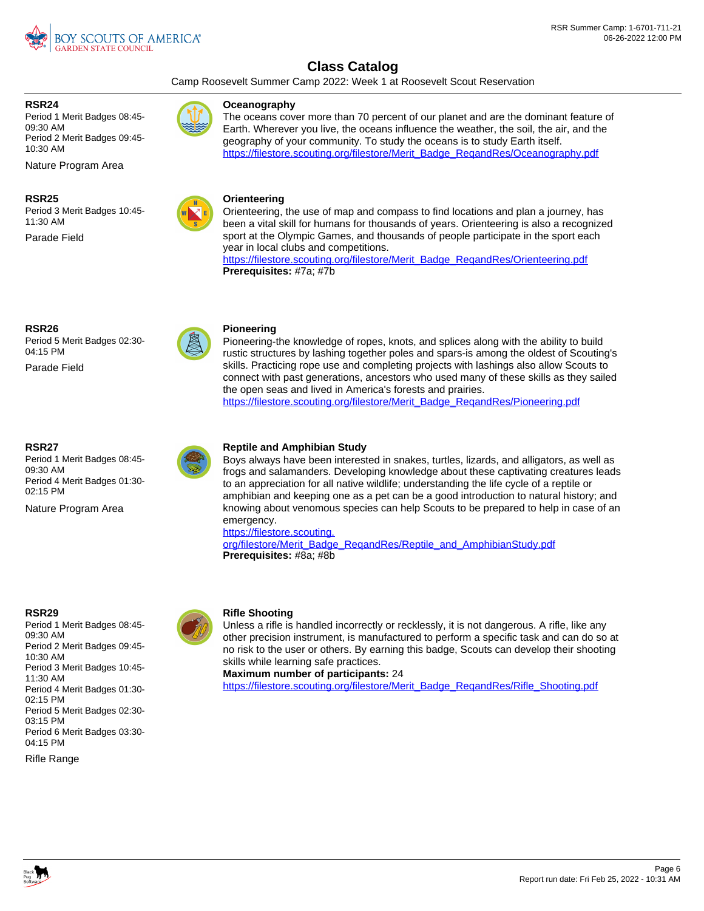

Camp Roosevelt Summer Camp 2022: Week 1 at Roosevelt Scout Reservation

the open seas and lived in America's forests and prairies.

### **RSR24**

Period 1 Merit Badges 08:45- 09:30 AM Period 2 Merit Badges 09:45- 10:30 AM

Nature Program Area

### **RSR25**

Period 3 Merit Badges 10:45- 11:30 AM

Parade Field



### **Oceanography**

The oceans cover more than 70 percent of our planet and are the dominant feature of Earth. Wherever you live, the oceans influence the weather, the soil, the air, and the geography of your community. To study the oceans is to study Earth itself. [https://filestore.scouting.org/filestore/Merit\\_Badge\\_ReqandRes/Oceanography.pdf](https://filestore.scouting.org/filestore/Merit_Badge_ReqandRes/Oceanography.pdf)



**Pioneering**

### Orienteering, the use of map and compass to find locations and plan a journey, has been a vital skill for humans for thousands of years. Orienteering is also a recognized sport at the Olympic Games, and thousands of people participate in the sport each year in local clubs and competitions.

Pioneering-the knowledge of ropes, knots, and splices along with the ability to build rustic structures by lashing together poles and spars-is among the oldest of Scouting's skills. Practicing rope use and completing projects with lashings also allow Scouts to connect with past generations, ancestors who used many of these skills as they sailed

[https://filestore.scouting.org/filestore/Merit\\_Badge\\_ReqandRes/Pioneering.pdf](https://filestore.scouting.org/filestore/Merit_Badge_ReqandRes/Pioneering.pdf)

[https://filestore.scouting.org/filestore/Merit\\_Badge\\_ReqandRes/Orienteering.pdf](https://filestore.scouting.org/filestore/Merit_Badge_ReqandRes/Orienteering.pdf) **Prerequisites:** #7a; #7b

### **RSR26**

Period 5 Merit Badges 02:30- 04:15 PM

Parade Field

### **RSR27**

Period 1 Merit Badges 08:45- 09:30 AM Period 4 Merit Badges 01:30- 02:15 PM

Nature Program Area



### **Reptile and Amphibian Study**

Boys always have been interested in snakes, turtles, lizards, and alligators, as well as frogs and salamanders. Developing knowledge about these captivating creatures leads to an appreciation for all native wildlife; understanding the life cycle of a reptile or amphibian and keeping one as a pet can be a good introduction to natural history; and knowing about venomous species can help Scouts to be prepared to help in case of an emergency.

[https://filestore.scouting.](https://filestore.scouting.org/filestore/Merit_Badge_ReqandRes/Reptile_and_AmphibianStudy.pdf)

[org/filestore/Merit\\_Badge\\_ReqandRes/Reptile\\_and\\_AmphibianStudy.pdf](https://filestore.scouting.org/filestore/Merit_Badge_ReqandRes/Reptile_and_AmphibianStudy.pdf) **Prerequisites:** #8a; #8b

#### **RSR29**

Period 1 Merit Badges 08:45- 09:30 AM Period 2 Merit Badges 09:45- 10:30 AM Period 3 Merit Badges 10:45- 11:30 AM Period 4 Merit Badges 01:30- 02:15 PM Period 5 Merit Badges 02:30- 03:15 PM Period 6 Merit Badges 03:30- 04:15 PM

Rifle Range



### **Rifle Shooting**

Unless a rifle is handled incorrectly or recklessly, it is not dangerous. A rifle, like any other precision instrument, is manufactured to perform a specific task and can do so at no risk to the user or others. By earning this badge, Scouts can develop their shooting skills while learning safe practices.

**Maximum number of participants:** 24

https://filestore.scouting.org/filestore/Merit\_Badge\_RegandRes/Rifle\_Shooting.pdf

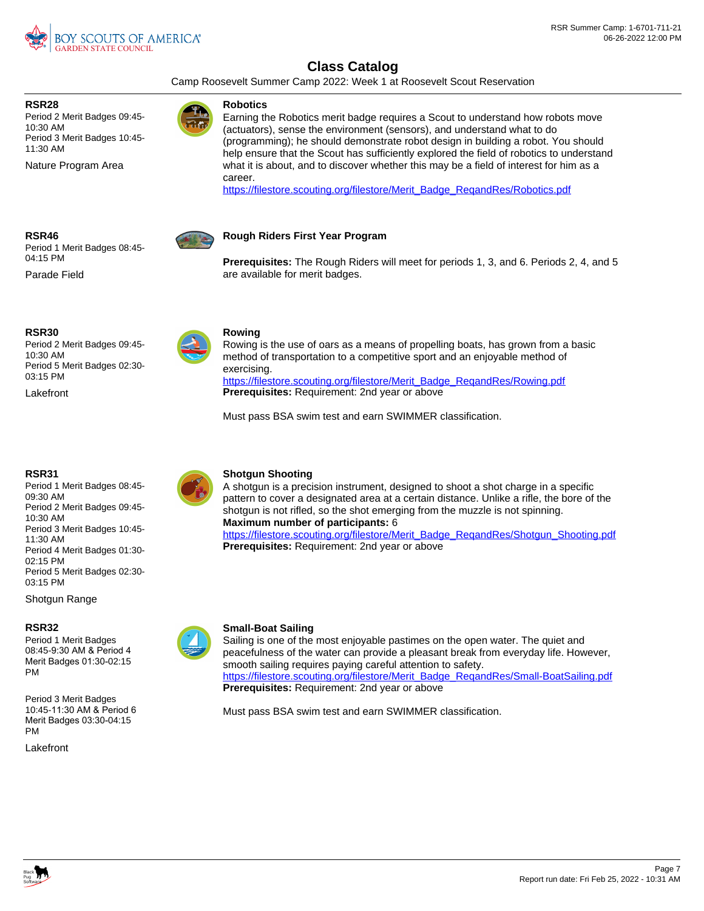

Camp Roosevelt Summer Camp 2022: Week 1 at Roosevelt Scout Reservation

**RSR28**

Period 2 Merit Badges 09:45- 10:30 AM Period 3 Merit Badges 10:45- 11:30 AM

Nature Program Area

### **Robotics**

Earning the Robotics merit badge requires a Scout to understand how robots move (actuators), sense the environment (sensors), and understand what to do (programming); he should demonstrate robot design in building a robot. You should help ensure that the Scout has sufficiently explored the field of robotics to understand what it is about, and to discover whether this may be a field of interest for him as a career.

[https://filestore.scouting.org/filestore/Merit\\_Badge\\_ReqandRes/Robotics.pdf](https://filestore.scouting.org/filestore/Merit_Badge_ReqandRes/Robotics.pdf)



Period 1 Merit Badges 08:45- 04:15 PM

Parade Field



### **Rough Riders First Year Program**

**Prerequisites:** The Rough Riders will meet for periods 1, 3, and 6. Periods 2, 4, and 5 are available for merit badges.



Period 2 Merit Badges 09:45- 10:30 AM Period 5 Merit Badges 02:30- 03:15 PM

**Lakefront** 

### **RSR31**

Period 1 Merit Badges 08:45- 09:30 AM Period 2 Merit Badges 09:45- 10:30 AM Period 3 Merit Badges 10:45- 11:30 AM Period 4 Merit Badges 01:30- 02:15 PM Period 5 Merit Badges 02:30- 03:15 PM

Shotgun Range

### **RSR32**

Period 1 Merit Badges 08:45-9:30 AM & Period 4 Merit Badges 01:30-02:15 PM

Period 3 Merit Badges 10:45-11:30 AM & Period 6 Merit Badges 03:30-04:15 PM

Lakefront



### **Rowing**

Rowing is the use of oars as a means of propelling boats, has grown from a basic method of transportation to a competitive sport and an enjoyable method of exercising. https://filestore.scouting.org/filestore/Merit\_Badge\_RegandRes/Rowing.pdf **Prerequisites:** Requirement: 2nd year or above

Must pass BSA swim test and earn SWIMMER classification.



### **Shotgun Shooting**

A shotgun is a precision instrument, designed to shoot a shot charge in a specific pattern to cover a designated area at a certain distance. Unlike a rifle, the bore of the shotgun is not rifled, so the shot emerging from the muzzle is not spinning. **Maximum number of participants:** 6 [https://filestore.scouting.org/filestore/Merit\\_Badge\\_ReqandRes/Shotgun\\_Shooting.pdf](https://filestore.scouting.org/filestore/Merit_Badge_ReqandRes/Shotgun_Shooting.pdf) **Prerequisites:** Requirement: 2nd year or above



Sailing is one of the most enjoyable pastimes on the open water. The quiet and peacefulness of the water can provide a pleasant break from everyday life. However, smooth sailing requires paying careful attention to safety. [https://filestore.scouting.org/filestore/Merit\\_Badge\\_ReqandRes/Small-BoatSailing.pdf](https://filestore.scouting.org/filestore/Merit_Badge_ReqandRes/Small-BoatSailing.pdf) **Prerequisites:** Requirement: 2nd year or above

Must pass BSA swim test and earn SWIMMER classification.

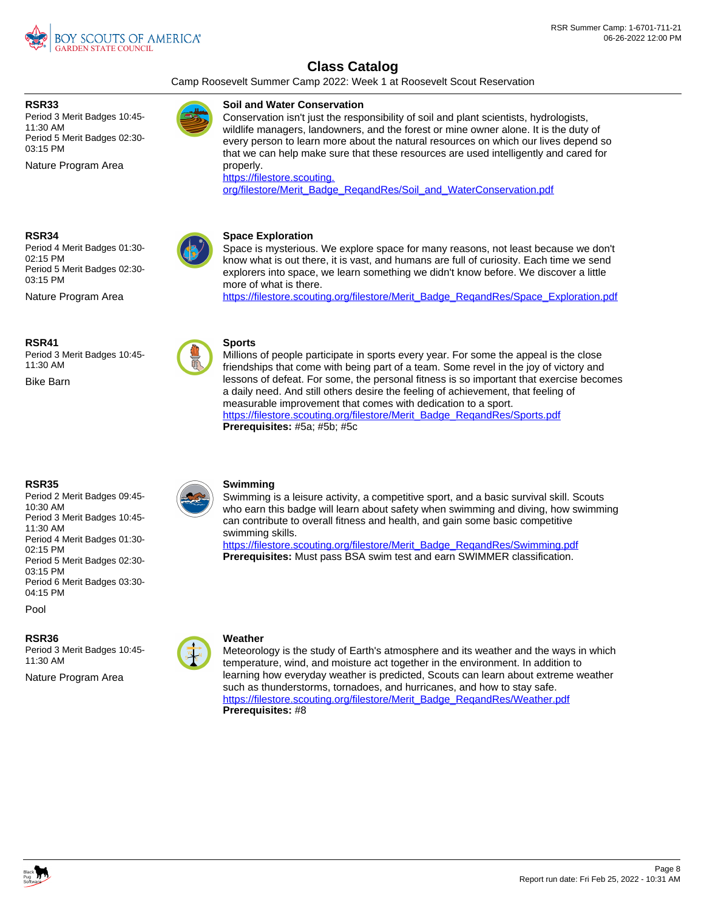

Camp Roosevelt Summer Camp 2022: Week 1 at Roosevelt Scout Reservation

Conservation isn't just the responsibility of soil and plant scientists, hydrologists, wildlife managers, landowners, and the forest or mine owner alone. It is the duty of every person to learn more about the natural resources on which our lives depend so that we can help make sure that these resources are used intelligently and cared for

[org/filestore/Merit\\_Badge\\_ReqandRes/Soil\\_and\\_WaterConservation.pdf](https://filestore.scouting.org/filestore/Merit_Badge_ReqandRes/Soil_and_WaterConservation.pdf)

**Soil and Water Conservation**

[https://filestore.scouting.](https://filestore.scouting.org/filestore/Merit_Badge_ReqandRes/Soil_and_WaterConservation.pdf)

**Space Exploration**

more of what is there.

### **RSR33**

Period 3 Merit Badges 10:45- 11:30 AM Period 5 Merit Badges 02:30- 03:15 PM

Nature Program Area

**RSR34**

Period 4 Merit Badges 01:30- 02:15 PM Period 5 Merit Badges 02:30- 03:15 PM

Nature Program Area

**RSR41**

Period 3 Merit Badges 10:45- 11:30 AM

Bike Barn



### **Sports**

properly.

Millions of people participate in sports every year. For some the appeal is the close friendships that come with being part of a team. Some revel in the joy of victory and lessons of defeat. For some, the personal fitness is so important that exercise becomes a daily need. And still others desire the feeling of achievement, that feeling of measurable improvement that comes with dedication to a sport. [https://filestore.scouting.org/filestore/Merit\\_Badge\\_ReqandRes/Sports.pdf](https://filestore.scouting.org/filestore/Merit_Badge_ReqandRes/Sports.pdf) **Prerequisites:** #5a; #5b; #5c

Space is mysterious. We explore space for many reasons, not least because we don't know what is out there, it is vast, and humans are full of curiosity. Each time we send explorers into space, we learn something we didn't know before. We discover a little

[https://filestore.scouting.org/filestore/Merit\\_Badge\\_ReqandRes/Space\\_Exploration.pdf](https://filestore.scouting.org/filestore/Merit_Badge_ReqandRes/Space_Exploration.pdf)

### **RSR35**

Period 2 Merit Badges 09:45- 10:30 AM Period 3 Merit Badges 10:45- 11:30 AM Period 4 Merit Badges 01:30- 02:15 PM Period 5 Merit Badges 02:30- 03:15 PM Period 6 Merit Badges 03:30- 04:15 PM

Pool

**RSR36**

Period 3 Merit Badges 10:45- 11:30 AM

Nature Program Area



### **Swimming**

Swimming is a leisure activity, a competitive sport, and a basic survival skill. Scouts who earn this badge will learn about safety when swimming and diving, how swimming can contribute to overall fitness and health, and gain some basic competitive swimming skills.

[https://filestore.scouting.org/filestore/Merit\\_Badge\\_ReqandRes/Swimming.pdf](https://filestore.scouting.org/filestore/Merit_Badge_ReqandRes/Swimming.pdf) **Prerequisites:** Must pass BSA swim test and earn SWIMMER classification.

### **Weather**

Meteorology is the study of Earth's atmosphere and its weather and the ways in which temperature, wind, and moisture act together in the environment. In addition to learning how everyday weather is predicted, Scouts can learn about extreme weather such as thunderstorms, tornadoes, and hurricanes, and how to stay safe. [https://filestore.scouting.org/filestore/Merit\\_Badge\\_ReqandRes/Weather.pdf](https://filestore.scouting.org/filestore/Merit_Badge_ReqandRes/Weather.pdf) **Prerequisites:** #8

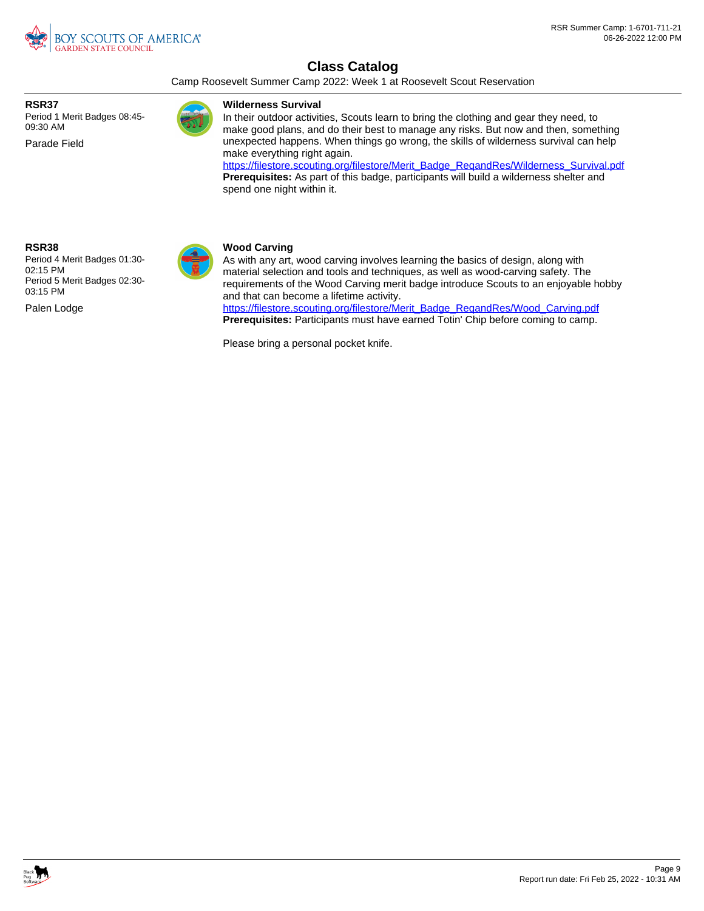

Camp Roosevelt Summer Camp 2022: Week 1 at Roosevelt Scout Reservation

**RSR37**

Period 1 Merit Badges 08:45- 09:30 AM

Parade Field

### **Wilderness Survival**

In their outdoor activities, Scouts learn to bring the clothing and gear they need, to make good plans, and do their best to manage any risks. But now and then, something unexpected happens. When things go wrong, the skills of wilderness survival can help make everything right again.

[https://filestore.scouting.org/filestore/Merit\\_Badge\\_ReqandRes/Wilderness\\_Survival.pdf](https://filestore.scouting.org/filestore/Merit_Badge_ReqandRes/Wilderness_Survival.pdf) **Prerequisites:** As part of this badge, participants will build a wilderness shelter and spend one night within it.

### **RSR38**

Palen Lodge Period 4 Merit Badges 01:30- 02:15 PM Period 5 Merit Badges 02:30- 03:15 PM



### **Wood Carving**

As with any art, wood carving involves learning the basics of design, along with material selection and tools and techniques, as well as wood-carving safety. The requirements of the Wood Carving merit badge introduce Scouts to an enjoyable hobby and that can become a lifetime activity.

[https://filestore.scouting.org/filestore/Merit\\_Badge\\_ReqandRes/Wood\\_Carving.pdf](https://filestore.scouting.org/filestore/Merit_Badge_ReqandRes/Wood_Carving.pdf) **Prerequisites:** Participants must have earned Totin' Chip before coming to camp.

Please bring a personal pocket knife.